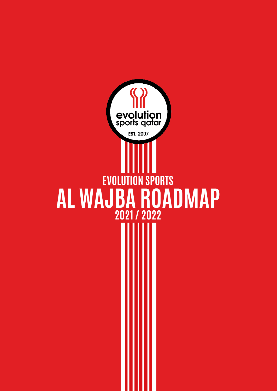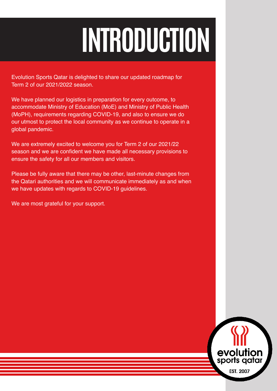# **INTRODUCTION**

Evolution Sports Qatar is delighted to share our updated roadmap for Term 2 of our 2021/2022 season.

We have planned our logistics in preparation for every outcome, to accommodate Ministry of Education (MoE) and Ministry of Public Health (MoPH), requirements regarding COVID-19, and also to ensure we do our utmost to protect the local community as we continue to operate in a global pandemic.

We are extremely excited to welcome you for Term 2 of our 2021/22 season and we are confident we have made all necessary provisions to ensure the safety for all our members and visitors.

Please be fully aware that there may be other, last-minute changes from the Qatari authorities and we will communicate immediately as and when we have updates with regards to COVID-19 guidelines.

We are most grateful for your support.

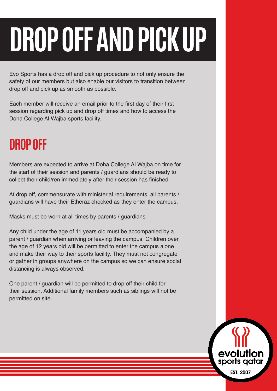# **DROP OFF AND PICK UP**

Evo Sports has a drop off and pick up procedure to not only ensure the safety of our members but also enable our visitors to transition between drop off and pick up as smooth as possible.

Each member will receive an email prior to the first day of their first session regarding pick up and drop off times and how to access the Doha College Al Wajba sports facility.

## **DROP OFF**

Members are expected to arrive at Doha College Al Wajba on time for the start of their session and parents / guardians should be ready to collect their child/ren immediately after their session has finished.

At drop off, commensurate with ministerial requirements, all parents / guardians will have their Etheraz checked as they enter the campus.

Masks must be worn at all times by parents / guardians.

Any child under the age of 11 years old must be accompanied by a parent / guardian when arriving or leaving the campus. Children over the age of 12 years old will be permitted to enter the campus alone and make their way to their sports facility. They must not congregate or gather in groups anywhere on the campus so we can ensure social distancing is always observed.

One parent / guardian will be permitted to drop off their child for their session. Additional family members such as siblings will not be permitted on site.

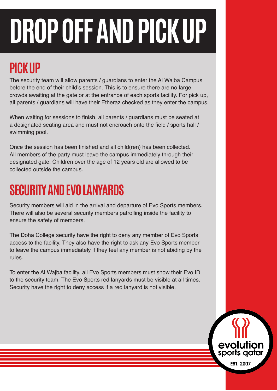# **DROP OFF AND PICK UP**

# **PICK UP**

The security team will allow parents / guardians to enter the Al Wajba Campus before the end of their child's session. This is to ensure there are no large crowds awaiting at the gate or at the entrance of each sports facility. For pick up, all parents / guardians will have their Etheraz checked as they enter the campus.

When waiting for sessions to finish, all parents / guardians must be seated at a designated seating area and must not encroach onto the field / sports hall / swimming pool.

Once the session has been finished and all child(ren) has been collected. All members of the party must leave the campus immediately through their designated gate. Children over the age of 12 years old are allowed to be collected outside the campus.

# **SECURITY AND EVO LANYARDS**

Security members will aid in the arrival and departure of Evo Sports members. There will also be several security members patrolling inside the facility to ensure the safety of members.

The Doha College security have the right to deny any member of Evo Sports access to the facility. They also have the right to ask any Evo Sports member to leave the campus immediately if they feel any member is not abiding by the rules.

To enter the Al Wajba facility, all Evo Sports members must show their Evo ID to the security team. The Evo Sports red lanyards must be visible at all times. Security have the right to deny access if a red lanyard is not visible.

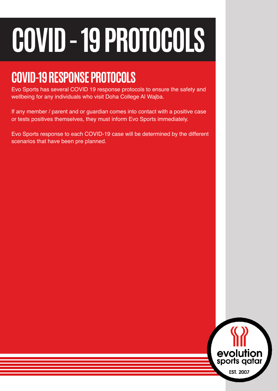# **COVID - 19 PROTOCOLS**

# **COVID-19 RESPONSE PROTOCOLS**

Evo Sports has several COVID 19 response protocols to ensure the safety and wellbeing for any individuals who visit Doha College Al Wajba.

If any member / parent and or guardian comes into contact with a positive case or tests positives themselves, they must inform Evo Sports immediately.

Evo Sports response to each COVID-19 case will be determined by the different scenarios that have been pre planned.

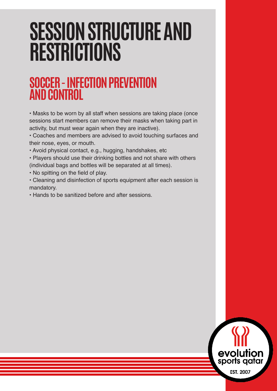#### **SOCCER - INFECTION PREVENTION AND CONTROL**

• Masks to be worn by all staff when sessions are taking place (once sessions start members can remove their masks when taking part in activity, but must wear again when they are inactive).

• Coaches and members are advised to avoid touching surfaces and their nose, eyes, or mouth.

• Avoid physical contact, e.g., hugging, handshakes, etc

• Players should use their drinking bottles and not share with others (individual bags and bottles will be separated at all times).

• No spitting on the field of play.

• Cleaning and disinfection of sports equipment after each session is mandatory.

• Hands to be sanitized before and after sessions.

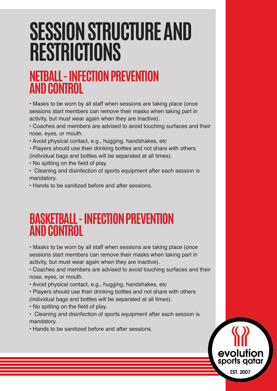#### **NETBALL - INFECTION PREVENTION AND CONTROL**

• Masks to be worn by all staff when sessions are taking place (once sessions start members can remove their masks when taking part in activity, but must wear again when they are inactive).

• Coaches and members are advised to avoid touching surfaces and their nose, eyes, or mouth.

• Avoid physical contact, e.g., hugging, handshakes, etc

• Players should use their drinking bottles and not share with others (individual bags and bottles will be separated at all times).

• No spitting on the field of play.

• Cleaning and disinfection of sports equipment after each session is mandatory.

• Hands to be sanitized before and after sessions.

#### **BASKETBALL - INFECTION PREVENTION AND CONTROL**

• Masks to be worn by all staff when sessions are taking place (once sessions start members can remove their masks when taking part in activity, but must wear again when they are inactive).

• Coaches and members are advised to avoid touching surfaces and their nose, eyes, or mouth.

• Avoid physical contact, e.g., hugging, handshakes, etc

• Players should use their drinking bottles and not share with others (individual bags and bottles will be separated at all times).

• No spitting on the field of play.

• Cleaning and disinfection of sports equipment after each session is mandatory.

• Hands to be sanitized before and after sessions.

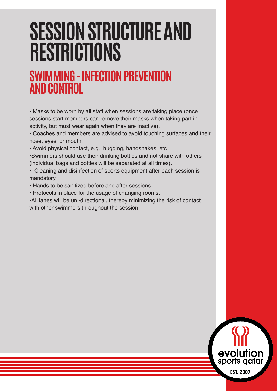#### **SWIMMING - INFECTION PREVENTION AND CONTROL**

• Masks to be worn by all staff when sessions are taking place (once sessions start members can remove their masks when taking part in activity, but must wear again when they are inactive).

• Coaches and members are advised to avoid touching surfaces and their nose, eyes, or mouth.

• Avoid physical contact, e.g., hugging, handshakes, etc

•Swimmers should use their drinking bottles and not share with others (individual bags and bottles will be separated at all times).

- Cleaning and disinfection of sports equipment after each session is mandatory.
- Hands to be sanitized before and after sessions.
- Protocols in place for the usage of changing rooms.

•All lanes will be uni-directional, thereby minimizing the risk of contact with other swimmers throughout the session.

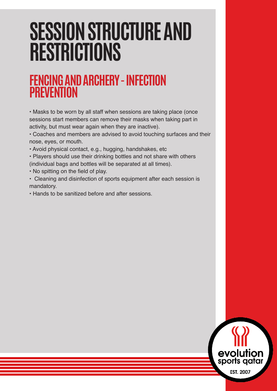#### **FENCING AND ARCHERY - INFECTION PREVENTION**

• Masks to be worn by all staff when sessions are taking place (once sessions start members can remove their masks when taking part in activity, but must wear again when they are inactive).

• Coaches and members are advised to avoid touching surfaces and their nose, eyes, or mouth.

• Avoid physical contact, e.g., hugging, handshakes, etc

• Players should use their drinking bottles and not share with others (individual bags and bottles will be separated at all times).

• No spitting on the field of play.

• Cleaning and disinfection of sports equipment after each session is mandatory.

• Hands to be sanitized before and after sessions.

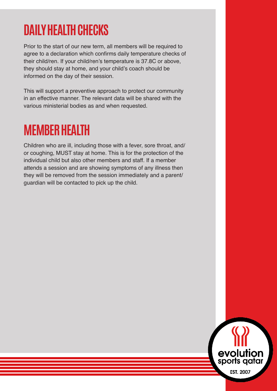### **DAILY HEALTH CHECKS**

Prior to the start of our new term, all members will be required to agree to a declaration which confirms daily temperature checks of their child/ren. If your child/ren's temperature is 37.8C or above, they should stay at home, and your child's coach should be informed on the day of their session.

This will support a preventive approach to protect our community in an effective manner. The relevant data will be shared with the various ministerial bodies as and when requested.

### **MEMBER HEALTH**

Children who are ill, including those with a fever, sore throat, and/ or coughing, MUST stay at home. This is for the protection of the individual child but also other members and staff. If a member attends a session and are showing symptoms of any illness then they will be removed from the session immediately and a parent/ guardian will be contacted to pick up the child.

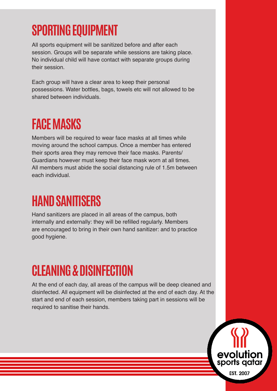# **SPORTING EQUIPMENT**

All sports equipment will be sanitized before and after each session. Groups will be separate while sessions are taking place. No individual child will have contact with separate groups during their session.

Each group will have a clear area to keep their personal possessions. Water bottles, bags, towels etc will not allowed to be shared between individuals.

### **FACE MASKS**

Members will be required to wear face masks at all times while moving around the school campus. Once a member has entered their sports area they may remove their face masks. Parents/ Guardians however must keep their face mask worn at all times. All members must abide the social distancing rule of 1.5m between each individual.

# **HAND SANITISERS**

Hand sanitizers are placed in all areas of the campus, both internally and externally: they will be refilled regularly. Members are encouraged to bring in their own hand sanitizer: and to practice good hygiene.

# **CLEANING & DISINFECTION**

At the end of each day, all areas of the campus will be deep cleaned and disinfected. All equipment will be disinfected at the end of each day. At the start and end of each session, members taking part in sessions will be required to sanitise their hands.

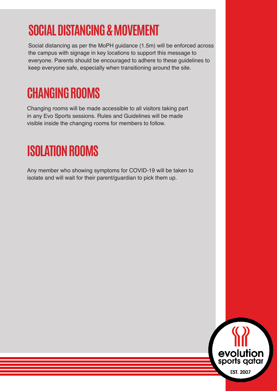# **SOCIAL DISTANCING & MOVEMENT**

Social distancing as per the MoPH guidance (1.5m) will be enforced across the campus with signage in key locations to support this message to everyone. Parents should be encouraged to adhere to these guidelines to keep everyone safe, especially when transitioning around the site.

## **CHANGING ROOMS**

Changing rooms will be made accessible to all visitors taking part in any Evo Sports sessions. Rules and Guidelines will be made visible inside the changing rooms for members to follow.

### **ISOLATION ROOMS**

Any member who showing symptoms for COVID-19 will be taken to isolate and will wait for their parent/guardian to pick them up.

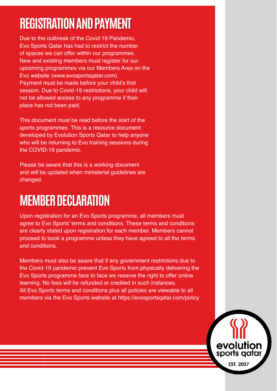# **REGISTRATION AND PAYMENT**

Due to the outbreak of the Covid 19 Pandemic, Evo Sports Qatar has had to restrict the number of spaces we can offer within our programmes. New and existing members must register for our upcoming programmes via our Members Area on the Evo website (www.evosportsqatar.com). Payment must be made before your child's first session. Due to Covid-19 restrictions, your child will not be allowed access to any programme if their place has not been paid.

This document must be read before the start of the sports programmes. This is a resource document developed by Evolution Sports Qatar to help anyone who will be returning to Evo training sessions during the COVID-19 pandemic.

Please be aware that this is a working document and will be updated when ministerial guidelines are changed.

### **MEMBER DECLARATION**

Upon registration for an Evo Sports programme, all members must agree to Evo Sports' terms and conditions. These terms and conditions are clearly stated upon registration for each member. Members cannot proceed to book a programme unless they have agreed to all the terms and conditions.

Members must also be aware that if any government restrictions due to the Covid-19 pandemic prevent Evo Sports from physically delivering the Evo Sports programme face to face we reserve the right to offer online learning. No fees will be refunded or credited in such instances. All Evo Sports terms and conditions plus all policies are viewable to all members via the Evo Sports website at https://evosportsqatar.com/policy

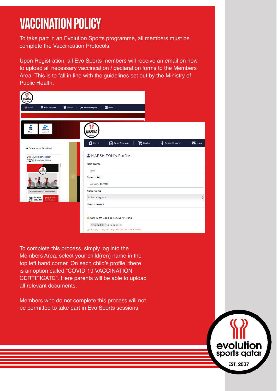# **VACCINATION POLICY**

To take part in an Evolution Sports programme, all members must be complete the Vaccincation Protocols.

Upon Registration, all Evo Sports members will receive an email on how to upload all necessary vaccincation / declaration forms to the Members Area. This is to fall in line with the guidelines set out by the Ministry of Public Health.

| evolution<br>sports quiar<br>maximum                              |                                                                                       |                                                       |
|-------------------------------------------------------------------|---------------------------------------------------------------------------------------|-------------------------------------------------------|
| <b>Right</b> Book Program<br><b>E</b> Indice<br><sup>4</sup> Home | Strandard Program<br>$\sum$ inbox                                                     |                                                       |
|                                                                   |                                                                                       |                                                       |
| ۰<br>2,<br>æ<br>Add New<br>Tom<br>Norsh<br>Applicant              | evolution<br>sports qalar<br>en acca                                                  |                                                       |
| Follow us on Facebook                                             | <b>Book Program</b><br><b>F</b> Invoice<br><b>合</b> Home                              | <b>A</b> Booked Program<br>$\blacktriangledown$ Inbox |
| Evo Sports Qatar<br>195<br>El Like Page 13K likes<br>epon         | MARSH TOM's Profile<br>First Name<br><b>lom</b>                                       |                                                       |
| ALL SESSIGNIS COLLECTED IN UNK WITH RACE CALCULARS                | Date of Birth<br>January 18, 1988<br>Nationality                                      |                                                       |
| первыми сем<br><b>MARKET STAY ACTIVE</b><br>ERRES JOIN US NOW!    | United Kingdom                                                                        |                                                       |
|                                                                   | Health Issues                                                                         |                                                       |
|                                                                   | <b>A COVID-19 Vaccination Certificate</b>                                             |                                                       |
|                                                                   | Choose File no file selected<br>(pdf / jpg / png file only. File size less than IMB ) |                                                       |

To complete this process, simply log into the Members Area, select your child(ren) name in the top left hand corner. On each child's profile, there is an option called "COVID-19 VACCINATION CERTIFICATE". Here parents will be able to upload all relevant documents.

Members who do not complete this process will not be permitted to take part in Evo Sports sessions.

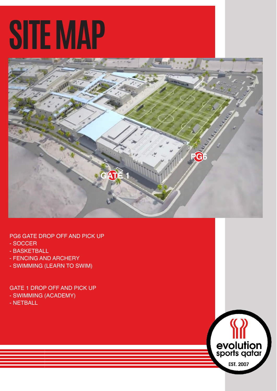# **SITE MAP**



PG6 GATE DROP OFF AND PICK UP

- SOCCER
- BASKETBALL
- FENCING AND ARCHERY
- SWIMMING (LEARN TO SWIM)

GATE 1 DROP OFF AND PICK UP - SWIMMING (ACADEMY) - NETBALL